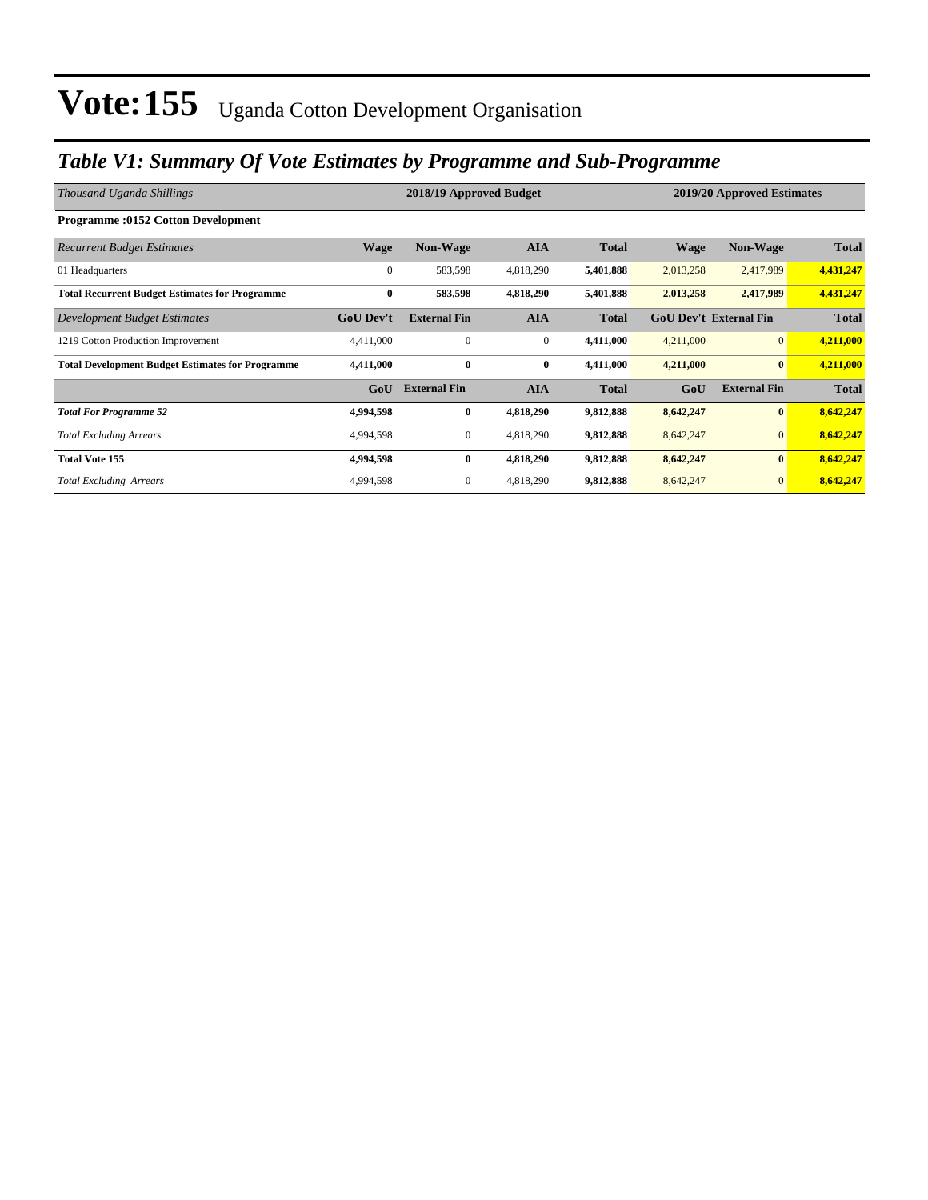### *Table V1: Summary Of Vote Estimates by Programme and Sub-Programme*

| Thousand Uganda Shillings                               |                  | 2018/19 Approved Budget |                  | 2019/20 Approved Estimates |                               |                     |              |
|---------------------------------------------------------|------------------|-------------------------|------------------|----------------------------|-------------------------------|---------------------|--------------|
| <b>Programme:0152 Cotton Development</b>                |                  |                         |                  |                            |                               |                     |              |
| <b>Recurrent Budget Estimates</b>                       | <b>Wage</b>      | Non-Wage                | <b>AIA</b>       | <b>Total</b>               | <b>Wage</b>                   | Non-Wage            | <b>Total</b> |
| 01 Headquarters                                         | $\overline{0}$   | 583,598                 | 4,818,290        | 5,401,888                  | 2,013,258                     | 2,417,989           | 4,431,247    |
| <b>Total Recurrent Budget Estimates for Programme</b>   | $\bf{0}$         | 583,598                 | 4,818,290        | 5,401,888                  | 2,013,258                     | 2,417,989           | 4,431,247    |
| Development Budget Estimates                            | <b>GoU Dev't</b> | <b>External Fin</b>     | <b>AIA</b>       | <b>Total</b>               | <b>GoU Dev't External Fin</b> |                     | <b>Total</b> |
| 1219 Cotton Production Improvement                      | 4,411,000        | $\mathbf{0}$            | $\boldsymbol{0}$ | 4,411,000                  | 4,211,000                     | $\overline{0}$      | 4,211,000    |
| <b>Total Development Budget Estimates for Programme</b> | 4,411,000        | $\bf{0}$                | $\bf{0}$         | 4,411,000                  | 4,211,000                     | $\bf{0}$            | 4,211,000    |
|                                                         | GoU              | <b>External Fin</b>     | <b>AIA</b>       | <b>Total</b>               | GoU                           | <b>External Fin</b> | <b>Total</b> |
| <b>Total For Programme 52</b>                           | 4,994,598        | $\bf{0}$                | 4,818,290        | 9,812,888                  | 8,642,247                     | $\bf{0}$            | 8,642,247    |
| <b>Total Excluding Arrears</b>                          | 4,994,598        | 0                       | 4,818,290        | 9,812,888                  | 8,642,247                     | $\mathbf{0}$        | 8,642,247    |
| <b>Total Vote 155</b>                                   | 4,994,598        | $\bf{0}$                | 4,818,290        | 9,812,888                  | 8,642,247                     | $\bf{0}$            | 8,642,247    |
| <b>Total Excluding Arrears</b>                          | 4,994,598        | 0                       | 4,818,290        | 9,812,888                  | 8,642,247                     | $\mathbf{0}$        | 8,642,247    |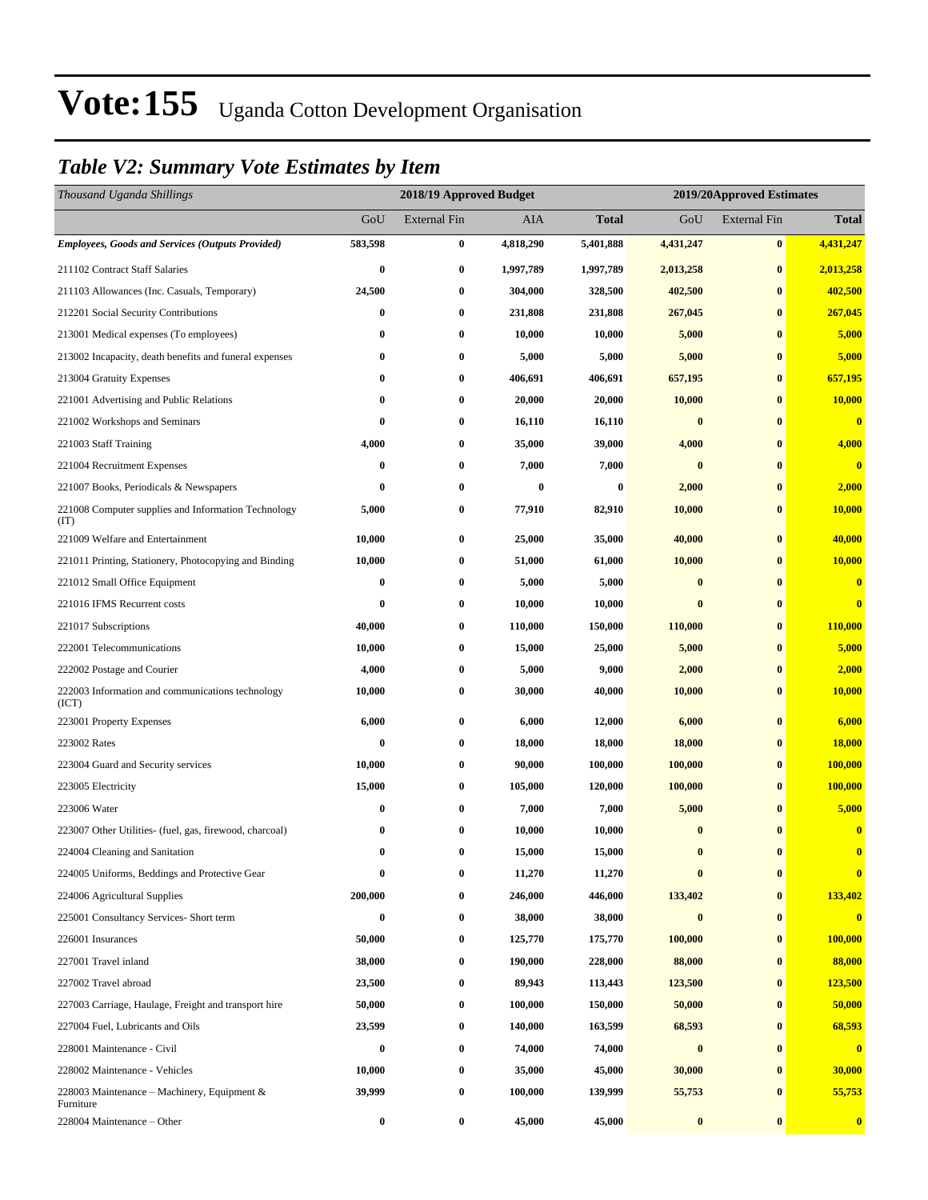### *Table V2: Summary Vote Estimates by Item*

| Thousand Uganda Shillings                                   |          | 2018/19 Approved Budget<br>2019/20Approved Estimates |           |              |           |                     |                         |
|-------------------------------------------------------------|----------|------------------------------------------------------|-----------|--------------|-----------|---------------------|-------------------------|
|                                                             | GoU      | <b>External Fin</b>                                  | AIA       | <b>Total</b> | GoU       | <b>External Fin</b> | <b>Total</b>            |
| <b>Employees, Goods and Services (Outputs Provided)</b>     | 583,598  | $\bf{0}$                                             | 4,818,290 | 5,401,888    | 4,431,247 | $\bf{0}$            | 4,431,247               |
| 211102 Contract Staff Salaries                              | 0        | $\bf{0}$                                             | 1,997,789 | 1,997,789    | 2,013,258 | $\bf{0}$            | 2,013,258               |
| 211103 Allowances (Inc. Casuals, Temporary)                 | 24,500   | $\bf{0}$                                             | 304,000   | 328,500      | 402,500   | $\bf{0}$            | 402,500                 |
| 212201 Social Security Contributions                        | 0        | $\bf{0}$                                             | 231,808   | 231,808      | 267,045   | $\bf{0}$            | 267,045                 |
| 213001 Medical expenses (To employees)                      | 0        | $\bf{0}$                                             | 10,000    | 10,000       | 5,000     | $\bf{0}$            | 5,000                   |
| 213002 Incapacity, death benefits and funeral expenses      | 0        | $\bf{0}$                                             | 5,000     | 5,000        | 5,000     | $\bf{0}$            | 5,000                   |
| 213004 Gratuity Expenses                                    | 0        | $\bf{0}$                                             | 406,691   | 406,691      | 657,195   | $\bf{0}$            | 657,195                 |
| 221001 Advertising and Public Relations                     | 0        | $\bf{0}$                                             | 20,000    | 20,000       | 10,000    | $\bf{0}$            | 10,000                  |
| 221002 Workshops and Seminars                               | 0        | $\bf{0}$                                             | 16,110    | 16,110       | $\bf{0}$  | $\bf{0}$            | $\overline{\mathbf{0}}$ |
| 221003 Staff Training                                       | 4,000    | $\bf{0}$                                             | 35,000    | 39,000       | 4,000     | $\bf{0}$            | 4,000                   |
| 221004 Recruitment Expenses                                 | 0        | $\bf{0}$                                             | 7,000     | 7,000        | $\bf{0}$  | $\bf{0}$            | $\mathbf{0}$            |
| 221007 Books, Periodicals & Newspapers                      | 0        | $\bf{0}$                                             | 0         | 0            | 2,000     | $\bf{0}$            | 2,000                   |
| 221008 Computer supplies and Information Technology<br>(TT) | 5,000    | $\bf{0}$                                             | 77,910    | 82,910       | 10,000    | $\bf{0}$            | <b>10,000</b>           |
| 221009 Welfare and Entertainment                            | 10,000   | $\bf{0}$                                             | 25,000    | 35,000       | 40,000    | $\bf{0}$            | 40,000                  |
| 221011 Printing, Stationery, Photocopying and Binding       | 10,000   | $\bf{0}$                                             | 51,000    | 61,000       | 10,000    | $\bf{0}$            | 10,000                  |
| 221012 Small Office Equipment                               | $\bf{0}$ | $\bf{0}$                                             | 5,000     | 5,000        | $\bf{0}$  | $\bf{0}$            | $\overline{\mathbf{0}}$ |
| 221016 IFMS Recurrent costs                                 | 0        | $\bf{0}$                                             | 10,000    | 10,000       | $\bf{0}$  | $\bf{0}$            | $\bf{0}$                |
| 221017 Subscriptions                                        | 40,000   | $\bf{0}$                                             | 110,000   | 150,000      | 110,000   | $\bf{0}$            | 110,000                 |
| 222001 Telecommunications                                   | 10,000   | $\bf{0}$                                             | 15,000    | 25,000       | 5,000     | $\bf{0}$            | 5,000                   |
| 222002 Postage and Courier                                  | 4,000    | $\bf{0}$                                             | 5,000     | 9,000        | 2,000     | $\bf{0}$            | 2,000                   |
| 222003 Information and communications technology<br>(ICT)   | 10,000   | $\bf{0}$                                             | 30,000    | 40,000       | 10,000    | $\bf{0}$            | 10,000                  |
| 223001 Property Expenses                                    | 6,000    | $\bf{0}$                                             | 6,000     | 12,000       | 6,000     | $\bf{0}$            | 6,000                   |
| 223002 Rates                                                | $\bf{0}$ | $\bf{0}$                                             | 18,000    | 18,000       | 18,000    | $\bf{0}$            | 18,000                  |
| 223004 Guard and Security services                          | 10,000   | $\bf{0}$                                             | 90,000    | 100,000      | 100,000   | $\bf{0}$            | 100,000                 |
| 223005 Electricity                                          | 15,000   | $\bf{0}$                                             | 105,000   | 120,000      | 100,000   | $\bf{0}$            | 100,000                 |
| 223006 Water                                                | 0        | $\bf{0}$                                             | 7,000     | 7,000        | 5,000     | $\bf{0}$            | 5,000                   |
| 223007 Other Utilities- (fuel, gas, firewood, charcoal)     | 0        | $\bf{0}$                                             | 10,000    | 10,000       | $\bf{0}$  | $\mathbf{0}$        | $\bf{0}$                |
| 224004 Cleaning and Sanitation                              | $\bf{0}$ | $\bf{0}$                                             | 15,000    | 15,000       | $\bf{0}$  | $\bf{0}$            | $\bf{0}$                |
| 224005 Uniforms, Beddings and Protective Gear               | 0        | $\bf{0}$                                             | 11,270    | 11,270       | $\bf{0}$  | $\bf{0}$            | $\bf{0}$                |
| 224006 Agricultural Supplies                                | 200,000  | $\bf{0}$                                             | 246,000   | 446,000      | 133,402   | $\pmb{0}$           | 133,402                 |
| 225001 Consultancy Services- Short term                     | 0        | $\bf{0}$                                             | 38,000    | 38,000       | $\pmb{0}$ | $\bf{0}$            | $\overline{\mathbf{0}}$ |
| 226001 Insurances                                           | 50,000   | $\bf{0}$                                             | 125,770   | 175,770      | 100,000   | $\bf{0}$            | 100,000                 |
| 227001 Travel inland                                        | 38,000   | $\bf{0}$                                             | 190,000   | 228,000      | 88,000    | $\bf{0}$            | 88,000                  |
| 227002 Travel abroad                                        | 23,500   | $\bf{0}$                                             | 89,943    | 113,443      | 123,500   | $\bf{0}$            | 123,500                 |
| 227003 Carriage, Haulage, Freight and transport hire        | 50,000   | $\bf{0}$                                             | 100,000   | 150,000      | 50,000    | $\bf{0}$            | 50,000                  |
| 227004 Fuel, Lubricants and Oils                            | 23,599   | $\bf{0}$                                             | 140,000   | 163,599      | 68,593    | $\bf{0}$            | 68,593                  |
| 228001 Maintenance - Civil                                  | 0        | $\bf{0}$                                             | 74,000    | 74,000       | $\pmb{0}$ | $\bf{0}$            | $\bf{0}$                |
| 228002 Maintenance - Vehicles                               | 10,000   | $\bf{0}$                                             | 35,000    | 45,000       | 30,000    | $\bf{0}$            | 30,000                  |
| 228003 Maintenance – Machinery, Equipment $\&$<br>Furniture | 39,999   | $\bf{0}$                                             | 100,000   | 139,999      | 55,753    | $\bf{0}$            | 55,753                  |
| 228004 Maintenance – Other                                  | 0        | $\bf{0}$                                             | 45,000    | 45,000       | $\pmb{0}$ | $\bf{0}$            | $\bf{0}$                |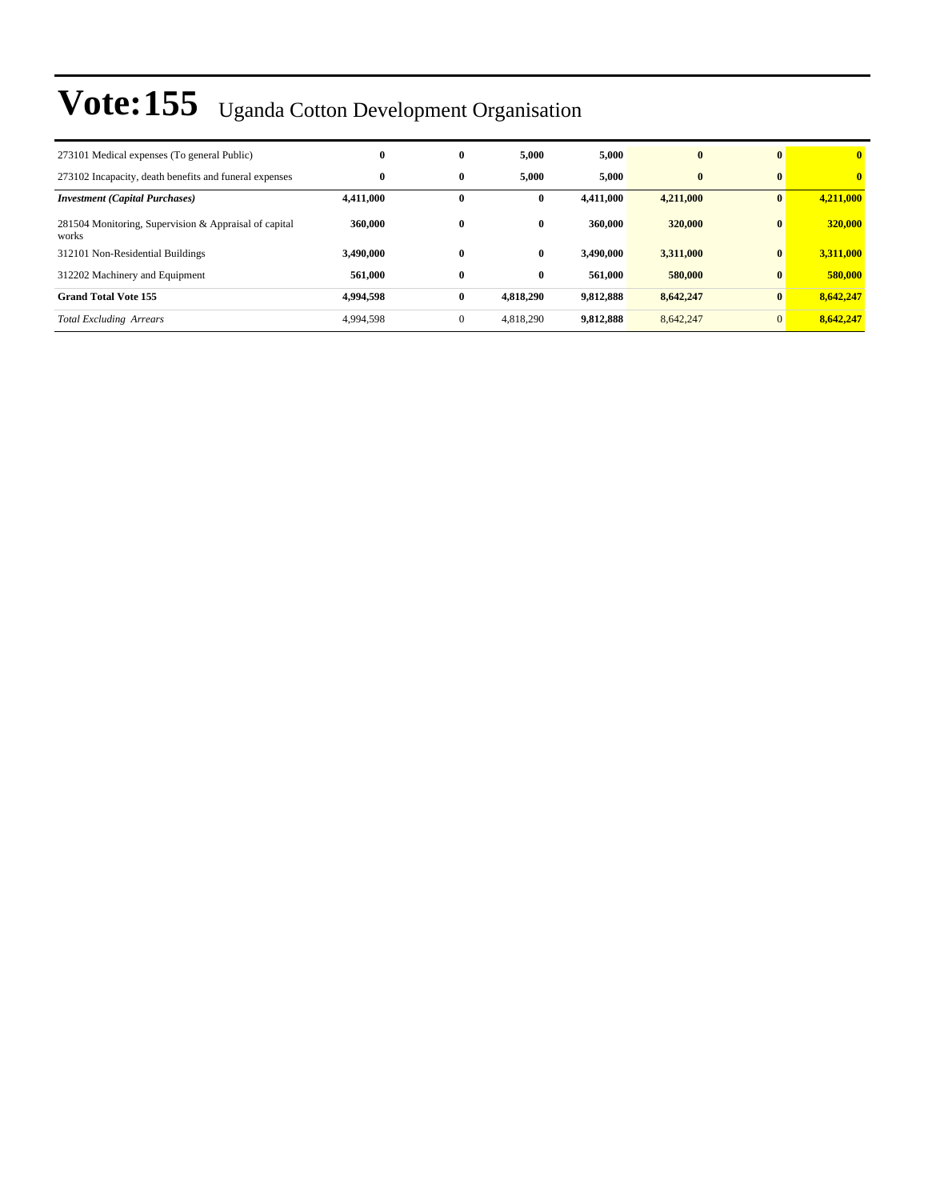| 273101 Medical expenses (To general Public)                    | $\bf{0}$  | $\bf{0}$     | 5.000        | 5,000     | $\mathbf{0}$ | $\mathbf{0}$ | $\mathbf{0}$ |
|----------------------------------------------------------------|-----------|--------------|--------------|-----------|--------------|--------------|--------------|
| 273102 Incapacity, death benefits and funeral expenses         | $\bf{0}$  | $\bf{0}$     | 5.000        | 5,000     | $\mathbf{0}$ | $\mathbf{0}$ | $\mathbf{0}$ |
| <b>Investment (Capital Purchases)</b>                          | 4,411,000 | $\bf{0}$     | $\bf{0}$     | 4.411.000 | 4,211,000    | $\bf{0}$     | 4,211,000    |
| 281504 Monitoring, Supervision & Appraisal of capital<br>works | 360,000   | $\bf{0}$     | $\mathbf{0}$ | 360,000   | 320,000      | $\bf{0}$     | 320,000      |
| 312101 Non-Residential Buildings                               | 3.490.000 | $\bf{0}$     | $\mathbf{0}$ | 3.490.000 | 3,311,000    | $\bf{0}$     | 3,311,000    |
| 312202 Machinery and Equipment                                 | 561.000   | $\bf{0}$     | $\bf{0}$     | 561,000   | 580,000      | $\bf{0}$     | 580,000      |
| <b>Grand Total Vote 155</b>                                    | 4.994.598 | $\bf{0}$     | 4,818,290    | 9,812,888 | 8,642,247    | $\bf{0}$     | 8,642,247    |
| <b>Total Excluding Arrears</b>                                 | 4,994,598 | $\mathbf{0}$ | 4,818,290    | 9,812,888 | 8,642,247    | $\mathbf{0}$ | 8,642,247    |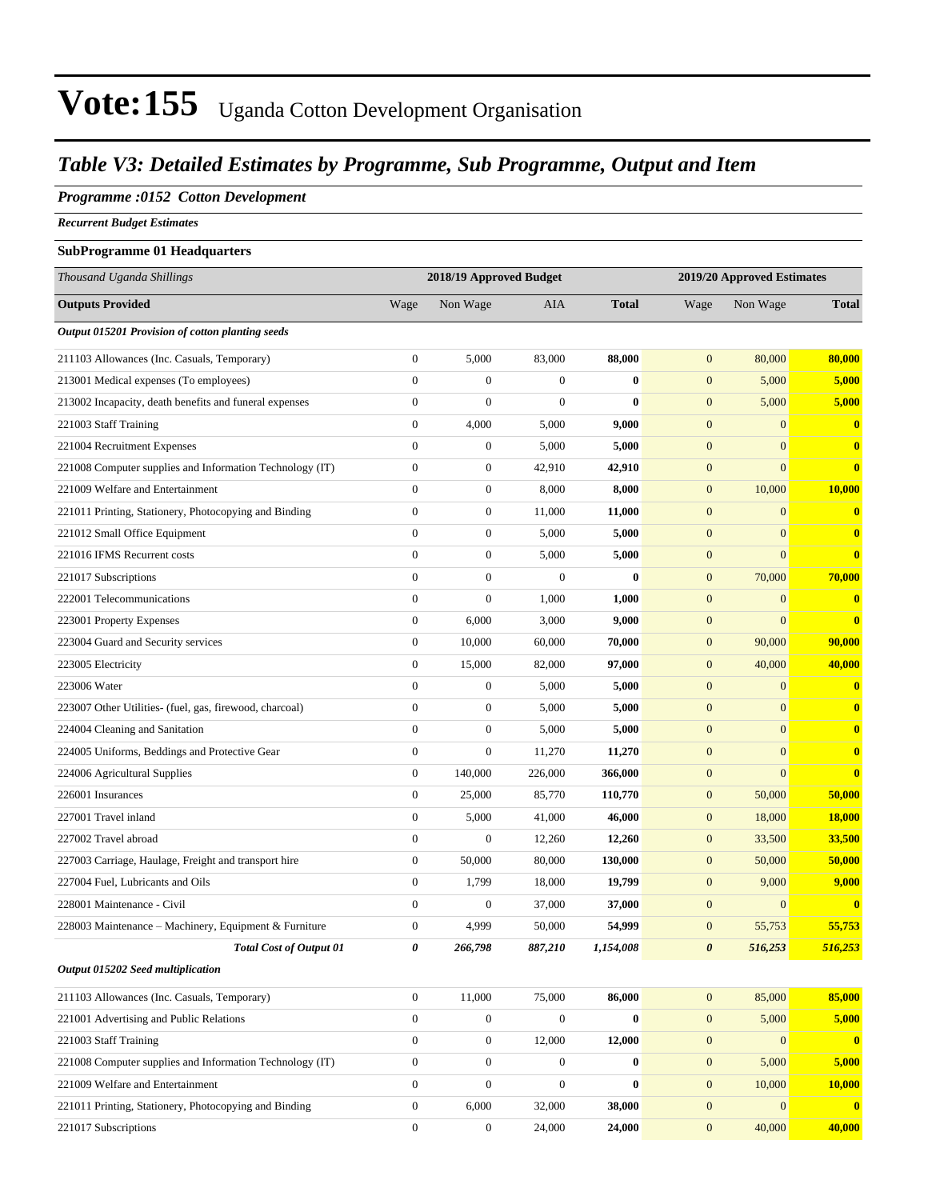### *Table V3: Detailed Estimates by Programme, Sub Programme, Output and Item*

#### *Programme :0152 Cotton Development*

*Recurrent Budget Estimates*

#### **SubProgramme 01 Headquarters**

| Thousand Uganda Shillings                                |                  | 2018/19 Approved Budget |                  |              | 2019/20 Approved Estimates |                  |                  |
|----------------------------------------------------------|------------------|-------------------------|------------------|--------------|----------------------------|------------------|------------------|
| <b>Outputs Provided</b>                                  | Wage             | Non Wage                | <b>AIA</b>       | <b>Total</b> | Wage                       | Non Wage         | <b>Total</b>     |
| Output 015201 Provision of cotton planting seeds         |                  |                         |                  |              |                            |                  |                  |
| 211103 Allowances (Inc. Casuals, Temporary)              | $\mathbf{0}$     | 5,000                   | 83,000           | 88,000       | $\mathbf{0}$               | 80,000           | 80,000           |
| 213001 Medical expenses (To employees)                   | $\mathbf{0}$     | $\boldsymbol{0}$        | $\boldsymbol{0}$ | $\bf{0}$     | $\mathbf{0}$               | 5,000            | 5,000            |
| 213002 Incapacity, death benefits and funeral expenses   | $\mathbf{0}$     | $\overline{0}$          | $\mathbf{0}$     | $\mathbf{0}$ | $\mathbf{0}$               | 5,000            | 5,000            |
| 221003 Staff Training                                    | $\mathbf{0}$     | 4,000                   | 5,000            | 9,000        | $\mathbf{0}$               | $\overline{0}$   | $\bf{0}$         |
| 221004 Recruitment Expenses                              | $\boldsymbol{0}$ | $\boldsymbol{0}$        | 5,000            | 5,000        | $\boldsymbol{0}$           | $\overline{0}$   | $\bf{0}$         |
| 221008 Computer supplies and Information Technology (IT) | $\boldsymbol{0}$ | $\boldsymbol{0}$        | 42,910           | 42,910       | $\mathbf{0}$               | $\overline{0}$   | $\bf{0}$         |
| 221009 Welfare and Entertainment                         | $\mathbf{0}$     | $\boldsymbol{0}$        | 8,000            | 8,000        | $\boldsymbol{0}$           | 10,000           | 10,000           |
| 221011 Printing, Stationery, Photocopying and Binding    | $\overline{0}$   | $\boldsymbol{0}$        | 11,000           | 11,000       | $\mathbf{0}$               | $\overline{0}$   | $\bf{0}$         |
| 221012 Small Office Equipment                            | $\overline{0}$   | $\boldsymbol{0}$        | 5,000            | 5,000        | $\mathbf{0}$               | $\overline{0}$   | $\bf{0}$         |
| 221016 IFMS Recurrent costs                              | $\boldsymbol{0}$ | $\boldsymbol{0}$        | 5,000            | 5,000        | $\boldsymbol{0}$           | $\overline{0}$   | $\bf{0}$         |
| 221017 Subscriptions                                     | $\boldsymbol{0}$ | $\boldsymbol{0}$        | $\boldsymbol{0}$ | $\bf{0}$     | $\boldsymbol{0}$           | 70,000           | 70,000           |
| 222001 Telecommunications                                | $\mathbf{0}$     | $\boldsymbol{0}$        | 1,000            | 1,000        | $\mathbf{0}$               | $\mathbf{0}$     | $\bf{0}$         |
| 223001 Property Expenses                                 | $\mathbf{0}$     | 6,000                   | 3,000            | 9,000        | $\mathbf{0}$               | $\overline{0}$   | $\bf{0}$         |
| 223004 Guard and Security services                       | $\mathbf{0}$     | 10,000                  | 60,000           | 70,000       | $\mathbf{0}$               | 90,000           | 90,000           |
| 223005 Electricity                                       | $\boldsymbol{0}$ | 15,000                  | 82,000           | 97,000       | $\mathbf{0}$               | 40,000           | 40,000           |
| 223006 Water                                             | $\boldsymbol{0}$ | $\boldsymbol{0}$        | 5,000            | 5,000        | $\boldsymbol{0}$           | $\overline{0}$   | $\bf{0}$         |
| 223007 Other Utilities- (fuel, gas, firewood, charcoal)  | $\mathbf{0}$     | $\boldsymbol{0}$        | 5,000            | 5,000        | $\mathbf{0}$               | $\overline{0}$   | $\bf{0}$         |
| 224004 Cleaning and Sanitation                           | $\mathbf{0}$     | $\boldsymbol{0}$        | 5,000            | 5,000        | $\mathbf{0}$               | $\overline{0}$   | $\bf{0}$         |
| 224005 Uniforms, Beddings and Protective Gear            | $\overline{0}$   | $\boldsymbol{0}$        | 11,270           | 11,270       | $\mathbf{0}$               | $\overline{0}$   | $\bf{0}$         |
| 224006 Agricultural Supplies                             | $\boldsymbol{0}$ | 140,000                 | 226,000          | 366,000      | $\boldsymbol{0}$           | $\boldsymbol{0}$ | $\bf{0}$         |
| 226001 Insurances                                        | $\boldsymbol{0}$ | 25,000                  | 85,770           | 110,770      | $\boldsymbol{0}$           | 50,000           | 50,000           |
| 227001 Travel inland                                     | $\boldsymbol{0}$ | 5,000                   | 41,000           | 46,000       | $\mathbf{0}$               | 18,000           | 18,000           |
| 227002 Travel abroad                                     | $\boldsymbol{0}$ | $\overline{0}$          | 12,260           | 12,260       | $\mathbf{0}$               | 33,500           | 33,500           |
| 227003 Carriage, Haulage, Freight and transport hire     | $\boldsymbol{0}$ | 50,000                  | 80,000           | 130,000      | $\mathbf{0}$               | 50,000           | 50,000           |
| 227004 Fuel, Lubricants and Oils                         | $\boldsymbol{0}$ | 1,799                   | 18,000           | 19,799       | $\boldsymbol{0}$           | 9,000            | 9,000            |
| 228001 Maintenance - Civil                               | $\boldsymbol{0}$ | $\boldsymbol{0}$        | 37,000           | 37,000       | $\boldsymbol{0}$           | $\boldsymbol{0}$ | $\bf{0}$         |
| 228003 Maintenance – Machinery, Equipment & Furniture    | $\boldsymbol{0}$ | 4,999                   | 50,000           | 54,999       | $\mathbf{0}$               | 55,753           | 55,753           |
| Total Cost of Output 01                                  | 0                | 266,798                 | 887,210          | 1,154,008    | $\pmb{\theta}$             | 516,253          | 516,253          |
| Output 015202 Seed multiplication                        |                  |                         |                  |              |                            |                  |                  |
| 211103 Allowances (Inc. Casuals, Temporary)              | $\overline{0}$   | 11,000                  | 75,000           | 86,000       | $\boldsymbol{0}$           | 85,000           | 85,000           |
| 221001 Advertising and Public Relations                  | $\boldsymbol{0}$ | $\boldsymbol{0}$        | $\boldsymbol{0}$ | $\bf{0}$     | $\mathbf{0}$               | 5,000            | 5,000            |
| 221003 Staff Training                                    | $\boldsymbol{0}$ | $\boldsymbol{0}$        | 12,000           | 12,000       | $\mathbf{0}$               | $\mathbf{0}$     | $\bf{0}$         |
| 221008 Computer supplies and Information Technology (IT) | $\boldsymbol{0}$ | $\boldsymbol{0}$        | $\boldsymbol{0}$ | $\bf{0}$     | $\boldsymbol{0}$           | 5,000            | 5,000            |
| 221009 Welfare and Entertainment                         | $\boldsymbol{0}$ | $\boldsymbol{0}$        | $\boldsymbol{0}$ | $\bf{0}$     | $\boldsymbol{0}$           | 10,000           | 10,000           |
| 221011 Printing, Stationery, Photocopying and Binding    | $\boldsymbol{0}$ | 6,000                   | 32,000           | 38,000       | $\boldsymbol{0}$           | $\boldsymbol{0}$ | $\boldsymbol{0}$ |
| 221017 Subscriptions                                     | $\boldsymbol{0}$ | $\boldsymbol{0}$        | 24,000           | 24,000       | $\mathbf{0}$               | 40,000           | 40,000           |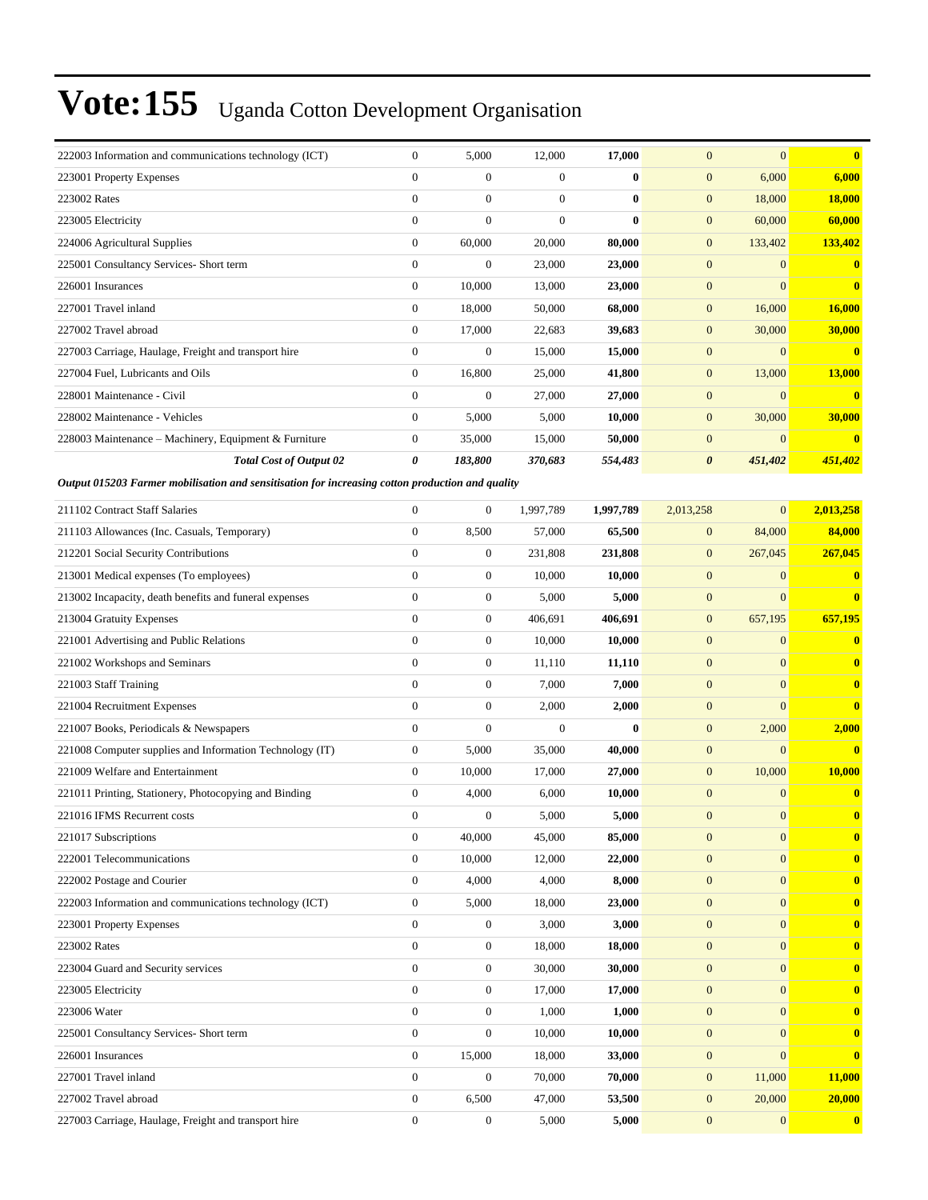| 222003 Information and communications technology (ICT)                                           | $\mathbf{0}$     | 5,000            | 12,000           | 17,000    | $\mathbf{0}$          | $\mathbf{0}$     | $\bf{0}$      |
|--------------------------------------------------------------------------------------------------|------------------|------------------|------------------|-----------|-----------------------|------------------|---------------|
| 223001 Property Expenses                                                                         | $\overline{0}$   | $\boldsymbol{0}$ | $\overline{0}$   | $\bf{0}$  | $\boldsymbol{0}$      | 6,000            | 6,000         |
| 223002 Rates                                                                                     | $\overline{0}$   | $\boldsymbol{0}$ | $\mathbf{0}$     | $\bf{0}$  | $\boldsymbol{0}$      | 18,000           | <b>18,000</b> |
| 223005 Electricity                                                                               | $\boldsymbol{0}$ | $\boldsymbol{0}$ | $\mathbf{0}$     | $\bf{0}$  | $\boldsymbol{0}$      | 60,000           | 60,000        |
| 224006 Agricultural Supplies                                                                     | $\overline{0}$   | 60,000           | 20,000           | 80,000    | $\boldsymbol{0}$      | 133,402          | 133,402       |
| 225001 Consultancy Services- Short term                                                          | $\boldsymbol{0}$ | $\boldsymbol{0}$ | 23,000           | 23,000    | $\boldsymbol{0}$      | $\mathbf{0}$     | $\mathbf{0}$  |
| 226001 Insurances                                                                                | $\boldsymbol{0}$ | 10,000           | 13,000           | 23,000    | $\boldsymbol{0}$      | $\mathbf{0}$     | $\mathbf{0}$  |
| 227001 Travel inland                                                                             | $\overline{0}$   | 18,000           | 50,000           | 68,000    | $\boldsymbol{0}$      | 16,000           | 16,000        |
| 227002 Travel abroad                                                                             | $\boldsymbol{0}$ | 17,000           | 22,683           | 39,683    | $\boldsymbol{0}$      | 30,000           | 30,000        |
| 227003 Carriage, Haulage, Freight and transport hire                                             | $\overline{0}$   | $\boldsymbol{0}$ | 15,000           | 15,000    | $\boldsymbol{0}$      | $\mathbf{0}$     | $\mathbf{0}$  |
| 227004 Fuel, Lubricants and Oils                                                                 | $\mathbf{0}$     | 16,800           | 25,000           | 41,800    | $\boldsymbol{0}$      | 13,000           | 13,000        |
| 228001 Maintenance - Civil                                                                       | $\overline{0}$   | $\boldsymbol{0}$ | 27,000           | 27,000    | $\mathbf{0}$          | $\mathbf{0}$     | $\mathbf{0}$  |
| 228002 Maintenance - Vehicles                                                                    | $\overline{0}$   | 5,000            | 5,000            | 10,000    | $\boldsymbol{0}$      | 30,000           | 30,000        |
| 228003 Maintenance - Machinery, Equipment & Furniture                                            | 0                | 35,000           | 15,000           | 50,000    | $\boldsymbol{0}$      | $\mathbf{0}$     | $\bf{0}$      |
| <b>Total Cost of Output 02</b>                                                                   | 0                | 183,800          | 370,683          | 554,483   | $\boldsymbol{\theta}$ | 451,402          | 451,402       |
| Output 015203 Farmer mobilisation and sensitisation for increasing cotton production and quality |                  |                  |                  |           |                       |                  |               |
| 211102 Contract Staff Salaries                                                                   | $\mathbf{0}$     | $\boldsymbol{0}$ | 1,997,789        | 1,997,789 | 2,013,258             | $\mathbf{0}$     | 2,013,258     |
| 211103 Allowances (Inc. Casuals, Temporary)                                                      | $\boldsymbol{0}$ | 8,500            | 57,000           | 65,500    | $\boldsymbol{0}$      | 84,000           | 84,000        |
| 212201 Social Security Contributions                                                             | $\overline{0}$   | $\boldsymbol{0}$ | 231,808          | 231,808   | $\mathbf{0}$          | 267,045          | 267,045       |
| 213001 Medical expenses (To employees)                                                           | $\overline{0}$   | $\boldsymbol{0}$ | 10,000           | 10,000    | $\boldsymbol{0}$      | $\mathbf{0}$     | $\bf{0}$      |
| 213002 Incapacity, death benefits and funeral expenses                                           | $\overline{0}$   | $\boldsymbol{0}$ | 5,000            | 5,000     | $\boldsymbol{0}$      | $\mathbf{0}$     | $\bf{0}$      |
| 213004 Gratuity Expenses                                                                         | $\boldsymbol{0}$ | $\boldsymbol{0}$ | 406,691          | 406,691   | $\boldsymbol{0}$      | 657,195          | 657,195       |
| 221001 Advertising and Public Relations                                                          | $\boldsymbol{0}$ | $\boldsymbol{0}$ | 10,000           | 10,000    | $\mathbf{0}$          | $\mathbf{0}$     | $\bf{0}$      |
| 221002 Workshops and Seminars                                                                    | $\overline{0}$   | $\boldsymbol{0}$ | 11,110           | 11,110    | $\mathbf{0}$          | $\mathbf{0}$     | $\mathbf{0}$  |
| 221003 Staff Training                                                                            | $\overline{0}$   | $\boldsymbol{0}$ | 7,000            | 7,000     | $\boldsymbol{0}$      | $\mathbf{0}$     | $\bf{0}$      |
| 221004 Recruitment Expenses                                                                      | $\overline{0}$   | $\boldsymbol{0}$ | 2,000            | 2,000     | $\boldsymbol{0}$      | $\mathbf{0}$     | $\bf{0}$      |
| 221007 Books, Periodicals & Newspapers                                                           | $\boldsymbol{0}$ | $\boldsymbol{0}$ | $\boldsymbol{0}$ | $\bf{0}$  | $\boldsymbol{0}$      | 2,000            | 2,000         |
| 221008 Computer supplies and Information Technology (IT)                                         | $\boldsymbol{0}$ | 5,000            | 35,000           | 40,000    | $\mathbf{0}$          | $\mathbf{0}$     | $\bf{0}$      |
| 221009 Welfare and Entertainment                                                                 | $\overline{0}$   | 10,000           | 17,000           | 27,000    | $\boldsymbol{0}$      | 10,000           | 10,000        |
| 221011 Printing, Stationery, Photocopying and Binding                                            | $\boldsymbol{0}$ | 4,000            | 6,000            | 10,000    | $\boldsymbol{0}$      | $\mathbf{0}$     | $\bf{0}$      |
| 221016 IFMS Recurrent costs                                                                      | $\overline{0}$   | $\boldsymbol{0}$ | 5,000            | 5,000     | $\mathbf{0}$          | $\mathbf{0}$     | $\mathbf{0}$  |
| 221017 Subscriptions                                                                             | $\boldsymbol{0}$ | 40,000           | 45,000           | 85,000    | $\boldsymbol{0}$      | $\boldsymbol{0}$ | $\bf{0}$      |
| 222001 Telecommunications                                                                        | $\mathbf{0}$     | 10,000           | 12,000           | 22,000    | $\boldsymbol{0}$      | $\mathbf{0}$     | $\mathbf{0}$  |
| 222002 Postage and Courier                                                                       | $\mathbf{0}$     | 4,000            | 4,000            | 8,000     | $\boldsymbol{0}$      | $\boldsymbol{0}$ | $\mathbf{0}$  |
| 222003 Information and communications technology (ICT)                                           | 0                | 5,000            | 18,000           | 23,000    | $\boldsymbol{0}$      | $\mathbf{0}$     | $\mathbf{0}$  |
| 223001 Property Expenses                                                                         | $\boldsymbol{0}$ | $\boldsymbol{0}$ | 3,000            | 3,000     | $\boldsymbol{0}$      | $\mathbf{0}$     | $\mathbf{0}$  |
| 223002 Rates                                                                                     | $\mathbf{0}$     | $\boldsymbol{0}$ | 18,000           | 18,000    | $\boldsymbol{0}$      | $\mathbf{0}$     | $\mathbf{0}$  |
| 223004 Guard and Security services                                                               | $\boldsymbol{0}$ | $\boldsymbol{0}$ | 30,000           | 30,000    | $\boldsymbol{0}$      | $\mathbf{0}$     | $\mathbf{0}$  |
| 223005 Electricity                                                                               | $\mathbf{0}$     | $\boldsymbol{0}$ | 17,000           | 17,000    | $\boldsymbol{0}$      | $\boldsymbol{0}$ | $\mathbf{0}$  |
| 223006 Water                                                                                     | $\mathbf{0}$     | 0                | 1,000            | 1,000     | $\boldsymbol{0}$      | $\mathbf{0}$     | $\bf{0}$      |
| 225001 Consultancy Services- Short term                                                          | $\boldsymbol{0}$ | $\boldsymbol{0}$ | 10,000           | 10,000    | $\boldsymbol{0}$      | $\mathbf{0}$     | $\bf{0}$      |
| 226001 Insurances                                                                                | $\mathbf{0}$     | 15,000           | 18,000           | 33,000    | $\mathbf{0}$          | $\mathbf{0}$     | $\mathbf{0}$  |
| 227001 Travel inland                                                                             | $\mathbf{0}$     | $\boldsymbol{0}$ | 70,000           | 70,000    | $\boldsymbol{0}$      | 11,000           | 11,000        |
| 227002 Travel abroad                                                                             | $\boldsymbol{0}$ | 6,500            | 47,000           | 53,500    | $\mathbf{0}$          | 20,000           | 20,000        |
| 227003 Carriage, Haulage, Freight and transport hire                                             | $\boldsymbol{0}$ | $\boldsymbol{0}$ | 5,000            | 5,000     | $\boldsymbol{0}$      | $\mathbf{0}$     | $\mathbf{0}$  |
|                                                                                                  |                  |                  |                  |           |                       |                  |               |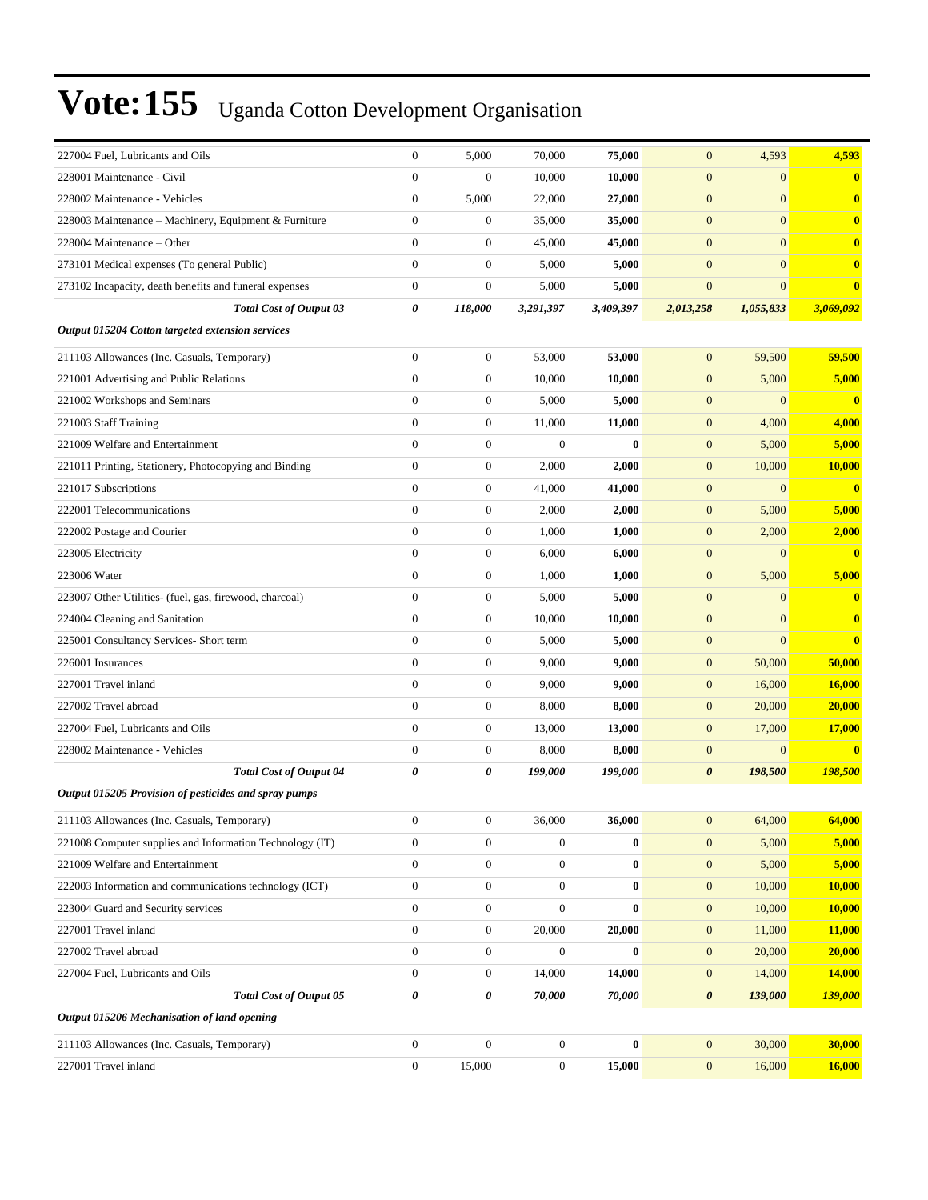| 227004 Fuel, Lubricants and Oils                         | $\mathbf{0}$     | 5,000            | 70,000           | 75,000           | $\mathbf{0}$          | 4,593            | 4,593                   |
|----------------------------------------------------------|------------------|------------------|------------------|------------------|-----------------------|------------------|-------------------------|
| 228001 Maintenance - Civil                               | $\mathbf{0}$     | $\boldsymbol{0}$ | 10,000           | 10,000           | $\mathbf{0}$          | $\mathbf{0}$     | $\bf{0}$                |
| 228002 Maintenance - Vehicles                            | $\mathbf{0}$     | 5,000            | 22,000           | 27,000           | $\boldsymbol{0}$      | $\mathbf{0}$     | $\bf{0}$                |
| 228003 Maintenance - Machinery, Equipment & Furniture    | $\mathbf{0}$     | $\boldsymbol{0}$ | 35,000           | 35,000           | $\mathbf{0}$          | $\overline{0}$   | $\bf{0}$                |
| 228004 Maintenance - Other                               | $\mathbf{0}$     | $\boldsymbol{0}$ | 45,000           | 45,000           | $\boldsymbol{0}$      | $\mathbf{0}$     | $\bf{0}$                |
| 273101 Medical expenses (To general Public)              | $\mathbf{0}$     | $\boldsymbol{0}$ | 5,000            | 5,000            | $\mathbf{0}$          | $\mathbf{0}$     | $\bf{0}$                |
| 273102 Incapacity, death benefits and funeral expenses   | $\boldsymbol{0}$ | $\boldsymbol{0}$ | 5,000            | 5,000            | $\mathbf{0}$          | $\mathbf{0}$     | $\bf{0}$                |
| <b>Total Cost of Output 03</b>                           | 0                | 118,000          | 3,291,397        | 3,409,397        | 2,013,258             | 1,055,833        | 3,069,092               |
| Output 015204 Cotton targeted extension services         |                  |                  |                  |                  |                       |                  |                         |
| 211103 Allowances (Inc. Casuals, Temporary)              | $\mathbf{0}$     | $\boldsymbol{0}$ | 53,000           | 53,000           | $\mathbf{0}$          | 59,500           | 59,500                  |
| 221001 Advertising and Public Relations                  | $\boldsymbol{0}$ | $\boldsymbol{0}$ | 10,000           | 10,000           | $\mathbf{0}$          | 5,000            | 5,000                   |
| 221002 Workshops and Seminars                            | $\boldsymbol{0}$ | $\boldsymbol{0}$ | 5,000            | 5,000            | $\mathbf{0}$          | $\boldsymbol{0}$ | $\overline{\mathbf{0}}$ |
| 221003 Staff Training                                    | $\mathbf{0}$     | $\boldsymbol{0}$ | 11,000           | 11,000           | $\mathbf{0}$          | 4,000            | 4,000                   |
| 221009 Welfare and Entertainment                         | $\mathbf{0}$     | $\boldsymbol{0}$ | $\mathbf{0}$     | $\mathbf{0}$     | $\boldsymbol{0}$      | 5,000            | 5,000                   |
| 221011 Printing, Stationery, Photocopying and Binding    | $\mathbf{0}$     | $\boldsymbol{0}$ | 2,000            | 2,000            | $\mathbf{0}$          | 10,000           | 10,000                  |
| 221017 Subscriptions                                     | $\mathbf{0}$     | $\boldsymbol{0}$ | 41,000           | 41,000           | $\mathbf{0}$          | $\boldsymbol{0}$ | $\mathbf{0}$            |
| 222001 Telecommunications                                | $\mathbf{0}$     | $\boldsymbol{0}$ | 2,000            | 2,000            | $\mathbf{0}$          | 5,000            | 5,000                   |
| 222002 Postage and Courier                               | $\mathbf{0}$     | $\boldsymbol{0}$ | 1,000            | 1,000            | $\mathbf{0}$          | 2,000            | 2,000                   |
| 223005 Electricity                                       | $\mathbf{0}$     | $\boldsymbol{0}$ | 6,000            | 6,000            | $\boldsymbol{0}$      | $\mathbf{0}$     | $\mathbf{0}$            |
| 223006 Water                                             | $\mathbf{0}$     | $\boldsymbol{0}$ | 1,000            | 1,000            | $\boldsymbol{0}$      | 5,000            | 5,000                   |
| 223007 Other Utilities- (fuel, gas, firewood, charcoal)  | $\boldsymbol{0}$ | $\boldsymbol{0}$ | 5,000            | 5,000            | $\mathbf{0}$          | $\mathbf{0}$     | $\mathbf{0}$            |
| 224004 Cleaning and Sanitation                           | $\boldsymbol{0}$ | $\boldsymbol{0}$ | 10,000           | 10,000           | $\mathbf{0}$          | $\mathbf{0}$     | $\bf{0}$                |
| 225001 Consultancy Services- Short term                  | $\mathbf{0}$     | $\boldsymbol{0}$ | 5,000            | 5,000            | $\mathbf{0}$          | $\mathbf{0}$     | $\mathbf{0}$            |
| 226001 Insurances                                        | $\theta$         | $\boldsymbol{0}$ | 9,000            | 9,000            | $\boldsymbol{0}$      | 50,000           | 50,000                  |
| 227001 Travel inland                                     | $\mathbf{0}$     | $\boldsymbol{0}$ | 9,000            | 9,000            | $\mathbf{0}$          | 16,000           | <b>16,000</b>           |
| 227002 Travel abroad                                     | $\mathbf{0}$     | $\boldsymbol{0}$ | 8,000            | 8,000            | $\mathbf{0}$          | 20,000           | 20,000                  |
| 227004 Fuel, Lubricants and Oils                         | $\boldsymbol{0}$ | $\boldsymbol{0}$ | 13,000           | 13,000           | $\mathbf{0}$          | 17,000           | <b>17,000</b>           |
| 228002 Maintenance - Vehicles                            | $\mathbf{0}$     | $\boldsymbol{0}$ | 8,000            | 8,000            | $\mathbf{0}$          | $\mathbf{0}$     | $\mathbf{0}$            |
| <b>Total Cost of Output 04</b>                           | 0                | 0                | 199,000          | 199,000          | $\boldsymbol{\theta}$ | 198,500          | 198,500                 |
| Output 015205 Provision of pesticides and spray pumps    |                  |                  |                  |                  |                       |                  |                         |
| 211103 Allowances (Inc. Casuals, Temporary)              | $\boldsymbol{0}$ | $\boldsymbol{0}$ | 36,000           | 36,000           | $\boldsymbol{0}$      | 64,000           | 64,000                  |
| 221008 Computer supplies and Information Technology (IT) | $\boldsymbol{0}$ | $\boldsymbol{0}$ | 0                | $\bf{0}$         | $\mathbf{0}$          | 5,000            | 5,000                   |
| 221009 Welfare and Entertainment                         | $\boldsymbol{0}$ | $\boldsymbol{0}$ | $\boldsymbol{0}$ | $\boldsymbol{0}$ | $\mathbf{0}$          | 5,000            | 5,000                   |
| 222003 Information and communications technology (ICT)   | $\boldsymbol{0}$ | $\boldsymbol{0}$ | $\boldsymbol{0}$ | $\boldsymbol{0}$ | $\boldsymbol{0}$      | 10,000           | <b>10,000</b>           |
| 223004 Guard and Security services                       | $\boldsymbol{0}$ | $\boldsymbol{0}$ | $\boldsymbol{0}$ | $\bf{0}$         | $\mathbf{0}$          | 10,000           | 10,000                  |
| 227001 Travel inland                                     | $\mathbf{0}$     | $\boldsymbol{0}$ | 20,000           | 20,000           | $\boldsymbol{0}$      | 11,000           | 11,000                  |
| 227002 Travel abroad                                     | $\boldsymbol{0}$ | $\boldsymbol{0}$ | $\boldsymbol{0}$ | $\bf{0}$         | $\boldsymbol{0}$      | 20,000           | 20,000                  |
| 227004 Fuel, Lubricants and Oils                         | $\boldsymbol{0}$ | $\boldsymbol{0}$ | 14,000           | 14,000           | $\boldsymbol{0}$      | 14,000           | 14,000                  |
| <b>Total Cost of Output 05</b>                           | $\pmb{\theta}$   | 0                | 70,000           | 70,000           | $\boldsymbol{\theta}$ | 139,000          | 139,000                 |
| Output 015206 Mechanisation of land opening              |                  |                  |                  |                  |                       |                  |                         |
| 211103 Allowances (Inc. Casuals, Temporary)              | $\boldsymbol{0}$ | $\boldsymbol{0}$ | $\boldsymbol{0}$ | $\bf{0}$         | $\mathbf{0}$          | 30,000           | 30,000                  |
| 227001 Travel inland                                     | $\boldsymbol{0}$ | 15,000           | $\boldsymbol{0}$ | 15,000           | $\boldsymbol{0}$      | 16,000           | 16,000                  |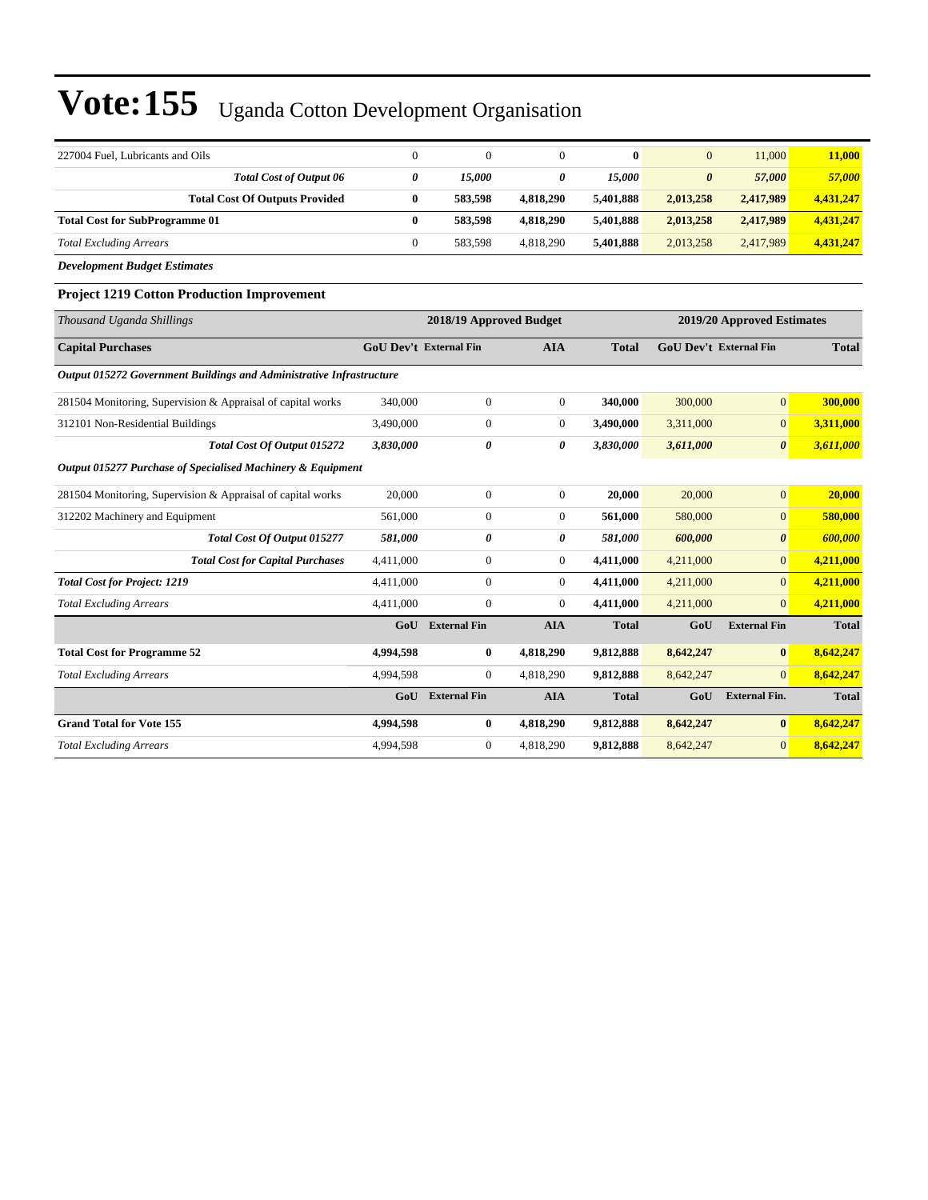| 227004 Fuel. Lubricants and Oils      |   |         |           |           | $\overline{0}$ | 11,000    | 11,000    |
|---------------------------------------|---|---------|-----------|-----------|----------------|-----------|-----------|
| <b>Total Cost of Output 06</b>        | 0 | 15.000  |           | 15.000    | 0              | 57,000    | 57,000    |
| <b>Total Cost Of Outputs Provided</b> | 0 | 583,598 | 4,818,290 | 5.401.888 | 2,013,258      | 2,417,989 | 4,431,247 |
| <b>Total Cost for SubProgramme 01</b> | 0 | 583,598 | 4,818,290 | 5.401.888 | 2,013,258      | 2,417,989 | 4,431,247 |
| <b>Total Excluding Arrears</b>        |   | 583.598 | 4.818.290 | 5.401.888 | 2,013,258      | 2.417.989 | 4,431,247 |
|                                       |   |         |           |           |                |           |           |

*Development Budget Estimates*

#### **Project 1219 Cotton Production Improvement**

| Thousand Uganda Shillings                                            |                               | 2018/19 Approved Budget |                |              |                               |                       | 2019/20 Approved Estimates |  |  |
|----------------------------------------------------------------------|-------------------------------|-------------------------|----------------|--------------|-------------------------------|-----------------------|----------------------------|--|--|
| <b>Capital Purchases</b>                                             | <b>GoU Dev't External Fin</b> |                         | <b>AIA</b>     | <b>Total</b> | <b>GoU Dev't External Fin</b> |                       | <b>Total</b>               |  |  |
| Output 015272 Government Buildings and Administrative Infrastructure |                               |                         |                |              |                               |                       |                            |  |  |
| 281504 Monitoring, Supervision & Appraisal of capital works          | 340,000                       | $\mathbf{0}$            | $\overline{0}$ | 340,000      | 300,000                       | $\overline{0}$        | 300,000                    |  |  |
| 312101 Non-Residential Buildings                                     | 3.490,000                     | $\mathbf{0}$            | $\Omega$       | 3.490.000    | 3,311,000                     | $\overline{0}$        | 3,311,000                  |  |  |
| Total Cost Of Output 015272                                          | 3,830,000                     | 0                       | 0              | 3,830,000    | 3,611,000                     | $\boldsymbol{\theta}$ | 3,611,000                  |  |  |
| Output 015277 Purchase of Specialised Machinery & Equipment          |                               |                         |                |              |                               |                       |                            |  |  |
| 281504 Monitoring, Supervision & Appraisal of capital works          | 20,000                        | $\overline{0}$          | $\overline{0}$ | 20.000       | 20,000                        | $\overline{0}$        | 20,000                     |  |  |
| 312202 Machinery and Equipment                                       | 561,000                       | $\mathbf{0}$            | $\overline{0}$ | 561.000      | 580,000                       | $\overline{0}$        | 580,000                    |  |  |
| <b>Total Cost Of Output 015277</b>                                   | 581,000                       | 0                       | 0              | 581,000      | 600,000                       | $\boldsymbol{\theta}$ | 600,000                    |  |  |
| <b>Total Cost for Capital Purchases</b>                              | 4,411,000                     | $\boldsymbol{0}$        | $\overline{0}$ | 4,411,000    | 4,211,000                     | $\overline{0}$        | 4,211,000                  |  |  |
| <b>Total Cost for Project: 1219</b>                                  | 4,411,000                     | $\mathbf{0}$            | $\overline{0}$ | 4,411,000    | 4,211,000                     | $\overline{0}$        | 4,211,000                  |  |  |
| <b>Total Excluding Arrears</b>                                       | 4,411,000                     | $\boldsymbol{0}$        | $\Omega$       | 4,411,000    | 4,211,000                     | $\Omega$              | 4,211,000                  |  |  |
|                                                                      | GoU                           | <b>External Fin</b>     | <b>AIA</b>     | <b>Total</b> | GoU                           | <b>External Fin</b>   | <b>Total</b>               |  |  |
| <b>Total Cost for Programme 52</b>                                   | 4,994,598                     | 0                       | 4,818,290      | 9,812,888    | 8,642,247                     | $\bf{0}$              | 8,642,247                  |  |  |
| <b>Total Excluding Arrears</b>                                       | 4,994,598                     | $\mathbf{0}$            | 4,818,290      | 9,812,888    | 8,642,247                     | $\Omega$              | 8,642,247                  |  |  |
|                                                                      | GoU                           | <b>External Fin</b>     | <b>AIA</b>     | <b>Total</b> | GoU                           | <b>External Fin.</b>  | <b>Total</b>               |  |  |
| <b>Grand Total for Vote 155</b>                                      | 4,994,598                     | $\bf{0}$                | 4,818,290      | 9,812,888    | 8,642,247                     | $\bf{0}$              | 8,642,247                  |  |  |
| <b>Total Excluding Arrears</b>                                       | 4,994,598                     | $\mathbf{0}$            | 4,818,290      | 9,812,888    | 8,642,247                     | $\overline{0}$        | 8,642,247                  |  |  |